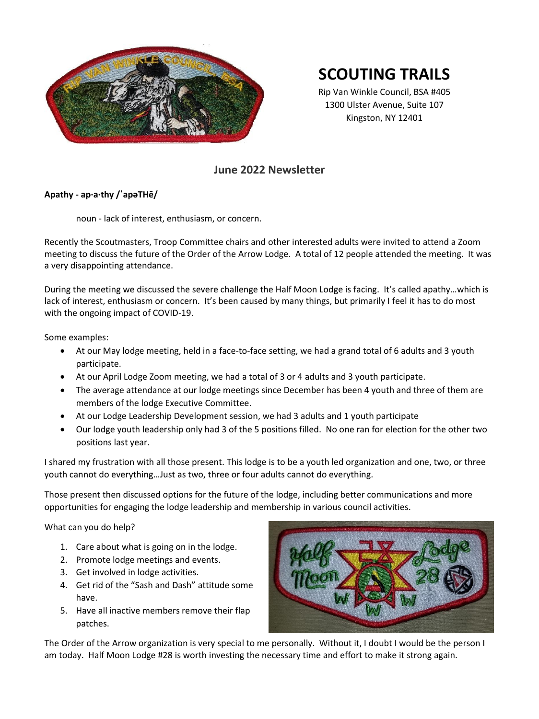

# **SCOUTING TRAILS**

Rip Van Winkle Council, BSA #405 1300 Ulster Avenue, Suite 107 Kingston, NY 12401

# **June 2022 Newsletter**

# **Apathy - ap·a·thy /ˈapəTHē/**

noun - lack of interest, enthusiasm, or concern.

Recently the Scoutmasters, Troop Committee chairs and other interested adults were invited to attend a Zoom meeting to discuss the future of the Order of the Arrow Lodge. A total of 12 people attended the meeting. It was a very disappointing attendance.

During the meeting we discussed the severe challenge the Half Moon Lodge is facing. It's called apathy…which is lack of interest, enthusiasm or concern. It's been caused by many things, but primarily I feel it has to do most with the ongoing impact of COVID-19.

Some examples:

- At our May lodge meeting, held in a face-to-face setting, we had a grand total of 6 adults and 3 youth participate.
- At our April Lodge Zoom meeting, we had a total of 3 or 4 adults and 3 youth participate.
- The average attendance at our lodge meetings since December has been 4 youth and three of them are members of the lodge Executive Committee.
- At our Lodge Leadership Development session, we had 3 adults and 1 youth participate
- Our lodge youth leadership only had 3 of the 5 positions filled. No one ran for election for the other two positions last year.

I shared my frustration with all those present. This lodge is to be a youth led organization and one, two, or three youth cannot do everything…Just as two, three or four adults cannot do everything.

Those present then discussed options for the future of the lodge, including better communications and more opportunities for engaging the lodge leadership and membership in various council activities.

What can you do help?

- 1. Care about what is going on in the lodge.
- 2. Promote lodge meetings and events.
- 3. Get involved in lodge activities.
- 4. Get rid of the "Sash and Dash" attitude some have.
- 5. Have all inactive members remove their flap patches.



The Order of the Arrow organization is very special to me personally. Without it, I doubt I would be the person I am today. Half Moon Lodge #28 is worth investing the necessary time and effort to make it strong again.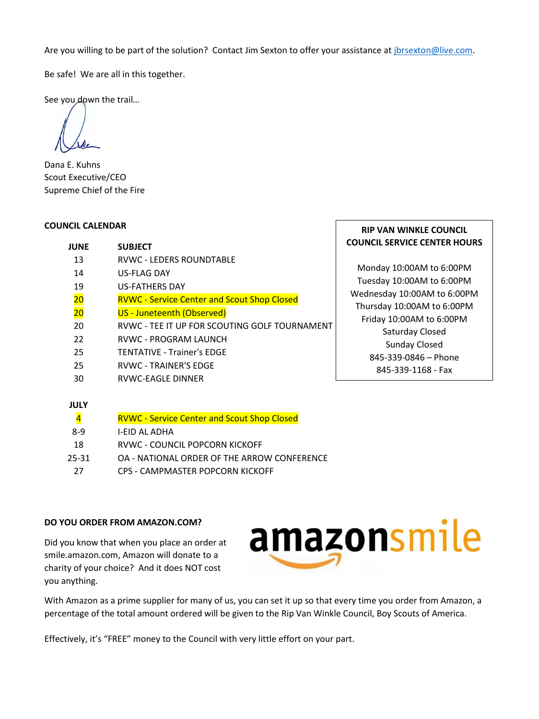Are you willing to be part of the solution? Contact Jim Sexton to offer your assistance at *jbrsexton@live.com.* 

Be safe! We are all in this together.

See you down the trail...

Dana E. Kuhns Scout Executive/CEO Supreme Chief of the Fire

#### **COUNCIL CALENDAR**

| ICIL CALENDAR                                                         | <b>RIP VAN WINKLE COUNCIL</b>       |
|-----------------------------------------------------------------------|-------------------------------------|
| <b>SUBJECT</b><br><b>JUNE</b>                                         | <b>COUNCIL SERVICE CENTER HOURS</b> |
| <b>RVWC - LEDERS ROUNDTABLE</b><br>13                                 |                                     |
| <b>US-FLAG DAY</b><br>14                                              | Monday 10:00AM to 6:00PM            |
| 19<br><b>US-FATHERS DAY</b>                                           | Tuesday 10:00AM to 6:00PM           |
| $\overline{20}$<br><b>RVWC - Service Center and Scout Shop Closed</b> | Wednesday 10:00AM to 6:00PM         |
| $\overline{20}$<br>US - Juneteenth (Observed)                         | Thursday 10:00AM to 6:00PM          |
| RVWC - TEE IT UP FOR SCOUTING GOLF TOURNAMENT<br>20                   | Friday 10:00AM to 6:00PM            |
| 22<br><b>RVWC - PROGRAM LAUNCH</b>                                    | Saturday Closed                     |
| 25<br><b>TENTATIVE - Trainer's EDGE</b>                               | Sunday Closed                       |
| <b>RVWC - TRAINER'S EDGE</b><br>25                                    | 845-339-0846 - Phone                |
| 30<br>RVWC-EAGLE DINNER                                               | 845-339-1168 - Fax                  |

#### **JULY**

| 4     | <b>RVWC - Service Center and Scout Shop Closed</b> |
|-------|----------------------------------------------------|
| $8-9$ | I-FID AL ADHA                                      |
| 18    | RVWC - COUNCIL POPCORN KICKOFF                     |
| 25-31 | OA - NATIONAL ORDER OF THE ARROW CONFERENCE        |
| 27    | CPS - CAMPMASTER POPCORN KICKOFF                   |

#### **DO YOU ORDER FROM AMAZON.COM?**

Did you know that when you place an order at smile.amazon.com, Amazon will donate to a charity of your choice? And it does NOT cost you anything.



With Amazon as a prime supplier for many of us, you can set it up so that every time you order from Amazon, a percentage of the total amount ordered will be given to the Rip Van Winkle Council, Boy Scouts of America.

Effectively, it's "FREE" money to the Council with very little effort on your part.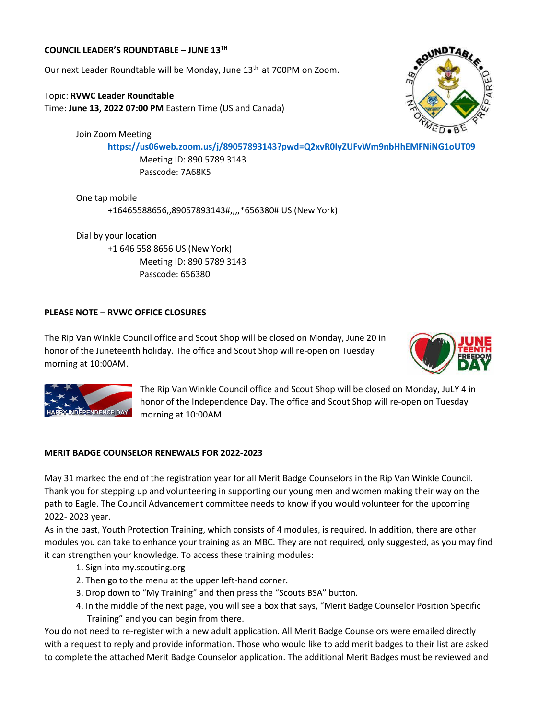#### **COUNCIL LEADER'S ROUNDTABLE – JUNE 13TH**

Our next Leader Roundtable will be Monday, June 13<sup>th</sup> at 700PM on Zoom.

Topic: **RVWC Leader Roundtable** Time: **June 13, 2022 07:00 PM** Eastern Time (US and Canada)

Join Zoom Meeting

**<https://us06web.zoom.us/j/89057893143?pwd=Q2xvR0IyZUFvWm9nbHhEMFNiNG1oUT09>**

Meeting ID: 890 5789 3143 Passcode: 7A68K5

One tap mobile +16465588656,,89057893143#,,,,\*656380# US (New York)

Dial by your location +1 646 558 8656 US (New York) Meeting ID: 890 5789 3143 Passcode: 656380

### **PLEASE NOTE – RVWC OFFICE CLOSURES**

The Rip Van Winkle Council office and Scout Shop will be closed on Monday, June 20 in honor of the Juneteenth holiday. The office and Scout Shop will re-open on Tuesday morning at 10:00AM.





The Rip Van Winkle Council office and Scout Shop will be closed on Monday, JuLY 4 in honor of the Independence Day. The office and Scout Shop will re-open on Tuesday morning at 10:00AM.

#### **MERIT BADGE COUNSELOR RENEWALS FOR 2022-2023**

May 31 marked the end of the registration year for all Merit Badge Counselors in the Rip Van Winkle Council. Thank you for stepping up and volunteering in supporting our young men and women making their way on the path to Eagle. The Council Advancement committee needs to know if you would volunteer for the upcoming 2022- 2023 year.

As in the past, Youth Protection Training, which consists of 4 modules, is required. In addition, there are other modules you can take to enhance your training as an MBC. They are not required, only suggested, as you may find it can strengthen your knowledge. To access these training modules:

- 1. Sign into my.scouting.org
- 2. Then go to the menu at the upper left-hand corner.
- 3. Drop down to "My Training" and then press the "Scouts BSA" button.
- 4. In the middle of the next page, you will see a box that says, "Merit Badge Counselor Position Specific Training" and you can begin from there.

You do not need to re-register with a new adult application. All Merit Badge Counselors were emailed directly with a request to reply and provide information. Those who would like to add merit badges to their list are asked to complete the attached Merit Badge Counselor application. The additional Merit Badges must be reviewed and

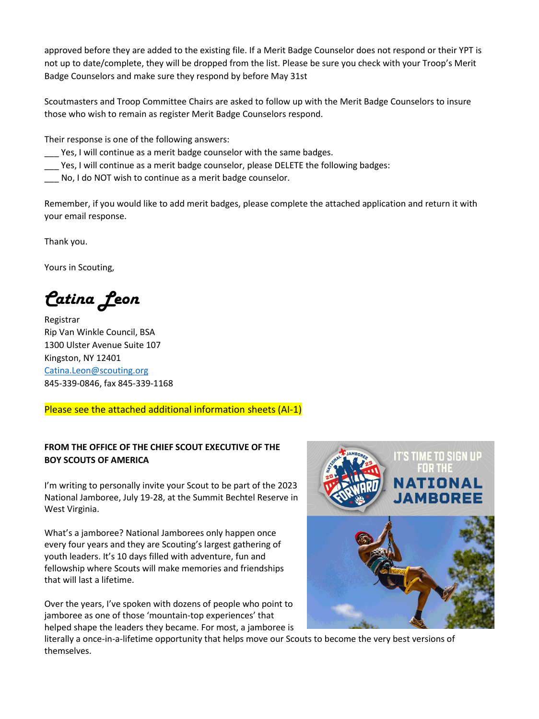approved before they are added to the existing file. If a Merit Badge Counselor does not respond or their YPT is not up to date/complete, they will be dropped from the list. Please be sure you check with your Troop's Merit Badge Counselors and make sure they respond by before May 31st

Scoutmasters and Troop Committee Chairs are asked to follow up with the Merit Badge Counselors to insure those who wish to remain as register Merit Badge Counselors respond.

Their response is one of the following answers:

- Yes, I will continue as a merit badge counselor with the same badges.
- \_\_\_ Yes, I will continue as a merit badge counselor, please DELETE the following badges:
- \_\_\_ No, I do NOT wish to continue as a merit badge counselor.

Remember, if you would like to add merit badges, please complete the attached application and return it with your email response.

Thank you.

Yours in Scouting,

*Catina Leon*

Registrar Rip Van Winkle Council, BSA 1300 Ulster Avenue Suite 107 Kingston, NY 12401 [Catina.Leon@scouting.org](mailto:Catina.Leon@scouting.org) 845-339-0846, fax 845-339-1168

Please see the attached additional information sheets (AI-1)

# **FROM THE OFFICE OF THE CHIEF SCOUT EXECUTIVE OF THE BOY SCOUTS OF AMERICA**

I'm writing to personally invite your Scout to be part of the 2023 National Jamboree, July 19-28, at the Summit Bechtel Reserve in West Virginia.

What's a jamboree? National Jamborees only happen once every four years and they are Scouting's largest gathering of youth leaders. It's 10 days filled with adventure, fun and fellowship where Scouts will make memories and friendships that will last a lifetime.

Over the years, I've spoken with dozens of people who point to jamboree as one of those 'mountain-top experiences' that helped shape the leaders they became. For most, a jamboree is



literally a once-in-a-lifetime opportunity that helps move our Scouts to become the very best versions of themselves.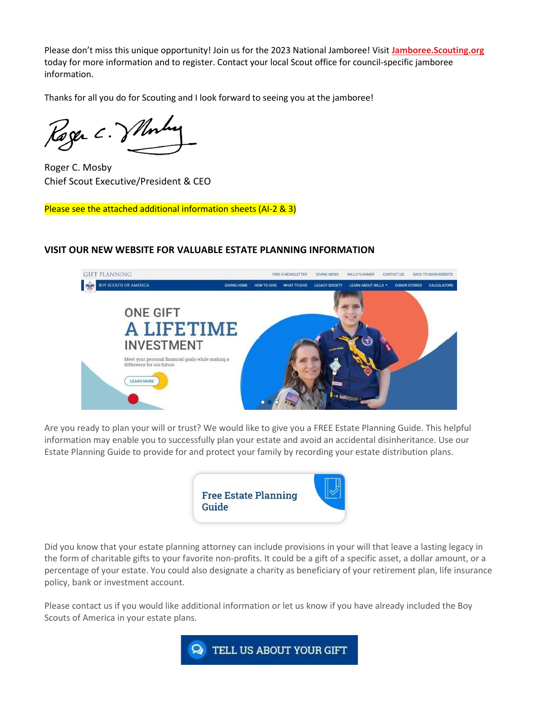Please don't miss this unique opportunity! Join us for the 2023 National Jamboree! Visit **[Jamboree.Scouting.org](https://t.email.scouting.org/r/?id=h26902046,ffbc280,10061a7f)** today for more information and to register. Contact your local Scout office for council-specific jamboree information.

Thanks for all you do for Scouting and I look forward to seeing you at the jamboree!

Rager C. Vllomber

Roger C. Mosby Chief Scout Executive/President & CEO

Please see the attached additional information sheets (AI-2 & 3)

# **VISIT OUR NEW WEBSITE FOR VALUABLE ESTATE PLANNING INFORMATION**



Are you ready to plan your will or trust? We would like to give you a FREE Estate Planning Guide. This helpful information may enable you to successfully plan your estate and avoid an accidental disinheritance. Use our Estate Planning Guide to provide for and protect your family by recording your estate distribution plans.



Did you know that your estate planning attorney can include provisions in your will that leave a lasting legacy in the form of charitable gifts to your favorite non-profits. It could be a gift of a specific asset, a dollar amount, or a percentage of your estate. You could also designate a charity as beneficiary of your retirement plan, life insurance policy, bank or investment account.

Please contact us if you would like additional information or let us know if you have already included the Boy Scouts of America in your estate plans.

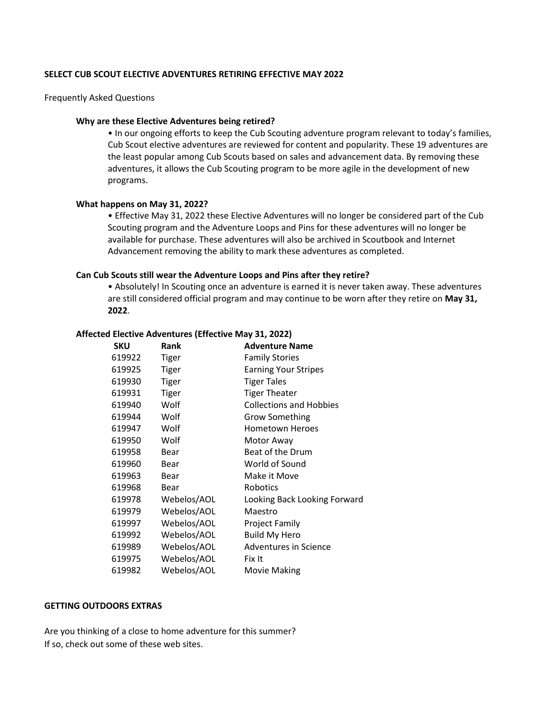#### **SELECT CUB SCOUT ELECTIVE ADVENTURES RETIRING EFFECTIVE MAY 2022**

#### Frequently Asked Questions

#### **Why are these Elective Adventures being retired?**

• In our ongoing efforts to keep the Cub Scouting adventure program relevant to today's families, Cub Scout elective adventures are reviewed for content and popularity. These 19 adventures are the least popular among Cub Scouts based on sales and advancement data. By removing these adventures, it allows the Cub Scouting program to be more agile in the development of new programs.

#### **What happens on May 31, 2022?**

• Effective May 31, 2022 these Elective Adventures will no longer be considered part of the Cub Scouting program and the Adventure Loops and Pins for these adventures will no longer be available for purchase. These adventures will also be archived in Scoutbook and Internet Advancement removing the ability to mark these adventures as completed.

#### **Can Cub Scouts still wear the Adventure Loops and Pins after they retire?**

• Absolutely! In Scouting once an adventure is earned it is never taken away. These adventures are still considered official program and may continue to be worn after they retire on **May 31, 2022**.

| a Liccuve Adventures (Lifecuve Iviay 91, 2022). |            |              |                                |
|-------------------------------------------------|------------|--------------|--------------------------------|
|                                                 | <b>SKU</b> | Rank         | <b>Adventure Name</b>          |
|                                                 | 619922     | <b>Tiger</b> | <b>Family Stories</b>          |
|                                                 | 619925     | <b>Tiger</b> | <b>Earning Your Stripes</b>    |
|                                                 | 619930     | <b>Tiger</b> | <b>Tiger Tales</b>             |
|                                                 | 619931     | <b>Tiger</b> | <b>Tiger Theater</b>           |
|                                                 | 619940     | Wolf         | <b>Collections and Hobbies</b> |
|                                                 | 619944     | Wolf         | <b>Grow Something</b>          |
|                                                 | 619947     | Wolf         | <b>Hometown Heroes</b>         |
|                                                 | 619950     | Wolf         | Motor Away                     |
|                                                 | 619958     | Bear         | Beat of the Drum               |
|                                                 | 619960     | Bear         | World of Sound                 |
|                                                 | 619963     | Bear         | Make it Move                   |
|                                                 | 619968     | Bear         | <b>Robotics</b>                |
|                                                 | 619978     | Webelos/AOL  | Looking Back Looking Forward   |
|                                                 | 619979     | Webelos/AOL  | Maestro                        |
|                                                 | 619997     | Webelos/AOL  | Project Family                 |
|                                                 | 619992     | Webelos/AOL  | <b>Build My Hero</b>           |
|                                                 | 619989     | Webelos/AOL  | Adventures in Science          |
|                                                 | 619975     | Webelos/AOL  | Fix It                         |
|                                                 | 619982     | Webelos/AOL  | Movie Making                   |
|                                                 |            |              |                                |

### **Affected Elective Adventures (Effective May 31, 2022)**

#### **GETTING OUTDOORS EXTRAS**

Are you thinking of a close to home adventure for this summer? If so, check out some of these web sites.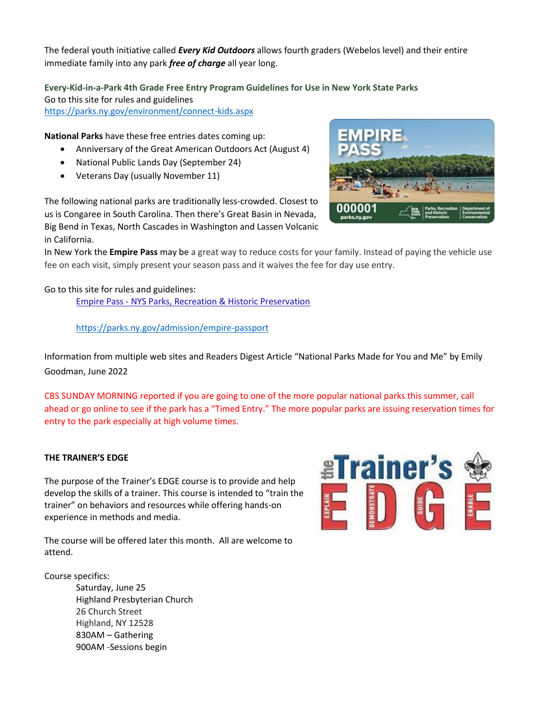The federal youth initiative called *Every Kid Outdoors* allows fourth graders (Webelos level) and their entire immediate family into any park *free of charge* all year long.

**Every-Kid-in-a-Park 4th Grade Free Entry Program Guidelines for Use in New York State Parks** Go to this site for rules and guidelines

<https://parks.ny.gov/environment/connect-kids.aspx>

**National Parks** have these free entries dates coming up:

- Anniversary of the Great American Outdoors Act (August 4)
- National Public Lands Day (September 24)
- Veterans Day (usually November 11)

The following national parks are traditionally less-crowded. Closest to us is Congaree in South Carolina. Then there's Great Basin in Nevada, Big Bend in Texas, North Cascades in Washington and Lassen Volcanic in California.

In New York the **Empire Pass** may be a great way to reduce costs for your family. Instead of paying the vehicle use fee on each visit, simply present your season pass and it waives the fee for day use entry.

Go to this site for rules and guidelines: Empire Pass - [NYS Parks, Recreation & Historic Preservation](https://parks.ny.gov/admission/empire-passport/)

<https://parks.ny.gov/admission/empire-passport>

Information from multiple web sites and Readers Digest Article "National Parks Made for You and Me" by Emily Goodman, June 2022

CBS SUNDAY MORNING reported if you are going to one of the more popular national parks this summer, call ahead or go online to see if the park has a "Timed Entry." The more popular parks are issuing reservation times for entry to the park especially at high volume times.

# **THE TRAINER'S EDGE**

The purpose of the Trainer's EDGE course is to provide and help develop the skills of a trainer. This course is intended to "train the trainer" on behaviors and resources while offering hands‐on experience in methods and media.

The course will be offered later this month. All are welcome to attend.

Course specifics:

Saturday, June 25 Highland Presbyterian Church 26 Church Street Highland, NY 12528 830AM – Gathering 900AM -Sessions begin



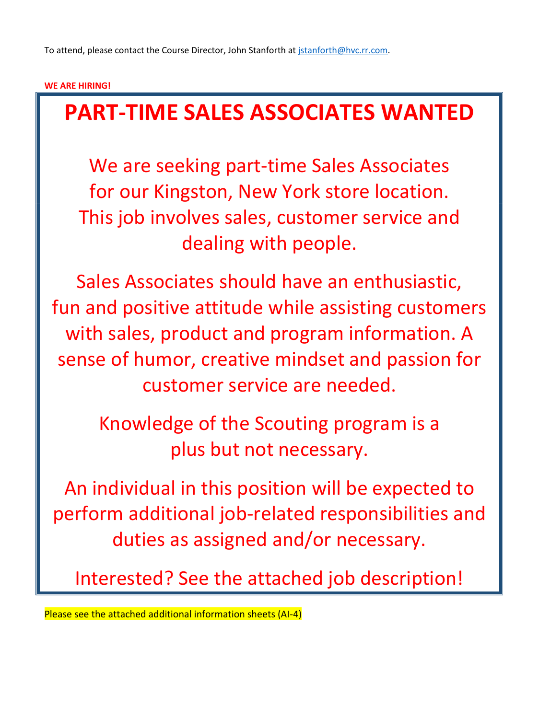# **WE ARE HIRING!**

# **PART-TIME SALES ASSOCIATES WANTED**

We are seeking part-time Sales Associates for our Kingston, New York store location. This job involves sales, customer service and dealing with people.

Sales Associates should have an enthusiastic, fun and positive attitude while assisting customers with sales, product and program information. A sense of humor, creative mindset and passion for customer service are needed.

> Knowledge of the Scouting program is a plus but not necessary.

An individual in this position will be expected to perform additional job-related responsibilities and duties as assigned and/or necessary.

Interested? See the attached job description!

Please see the attached additional information sheets (AI-4)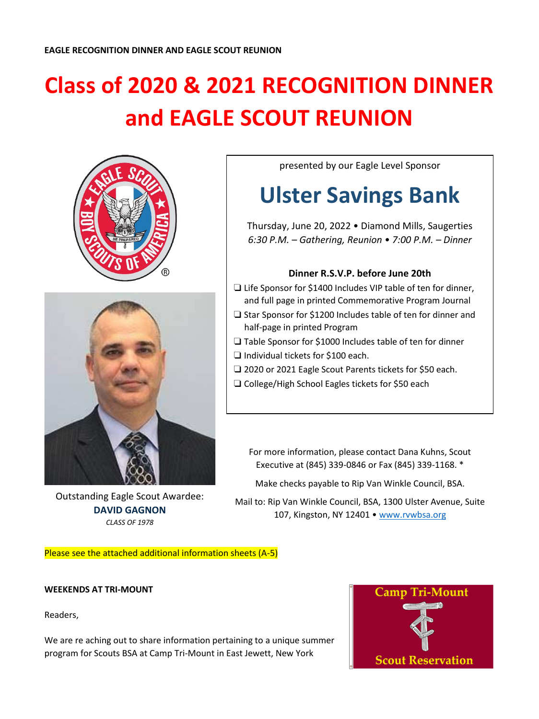# **Class of 2020 & 2021 RECOGNITION DINNER and EAGLE SCOUT REUNION**





Outstanding Eagle Scout Awardee: **DAVID GAGNON** *CLASS OF 1978*

presented by our Eagle Level Sponsor

# **Ulster Savings Bank**

Thursday, June 20, 2022 • Diamond Mills, Saugerties *6:30 P.M. – Gathering, Reunion • 7:00 P.M. – Dinner*

# **Dinner R.S.V.P. before June 20th**

- ❏ Life Sponsor for \$1400 Includes VIP table of ten for dinner, and full page in printed Commemorative Program Journal
- ❏ Star Sponsor for \$1200 Includes table of ten for dinner and half-page in printed Program
- ❏ Table Sponsor for \$1000 Includes table of ten for dinner
- ❏ Individual tickets for \$100 each.
- ❏ 2020 or 2021 Eagle Scout Parents tickets for \$50 each.
- ❏ College/High School Eagles tickets for \$50 each

For more information, please contact Dana Kuhns, Scout Executive at (845) 339-0846 or Fax (845) 339-1168. \*

Make checks payable to Rip Van Winkle Council, BSA.

Mail to: Rip Van Winkle Council, BSA, 1300 Ulster Avenue, Suite 107, Kingston, NY 12401 · [www.rvwbsa.org](http://www.rvwbsa.org/)

Please see the attached additional information sheets (A-5)

# **WEEKENDS AT TRI-MOUNT**

Readers,

We are re aching out to share information pertaining to a unique summer program for Scouts BSA at Camp Tri-Mount in East Jewett, New York

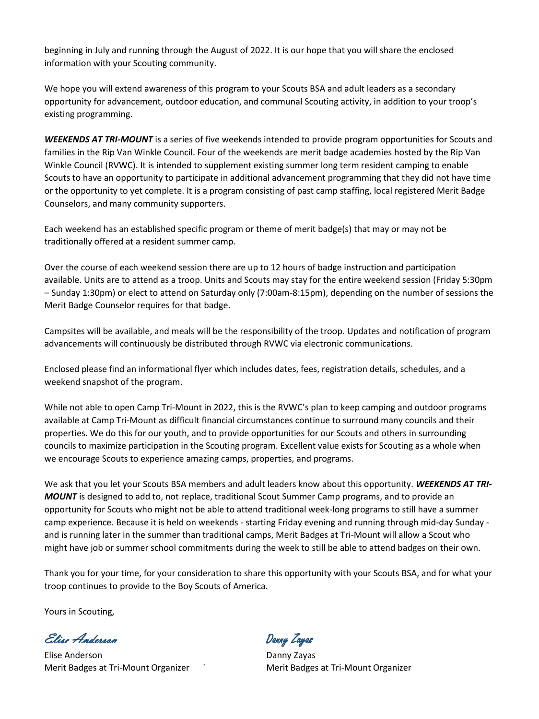beginning in July and running through the August of 2022. It is our hope that you will share the enclosed information with your Scouting community.

We hope you will extend awareness of this program to your Scouts BSA and adult leaders as a secondary opportunity for advancement, outdoor education, and communal Scouting activity, in addition to your troop's existing programming.

*WEEKENDS AT TRI-MOUNT* is a series of five weekends intended to provide program opportunities for Scouts and families in the Rip Van Winkle Council. Four of the weekends are merit badge academies hosted by the Rip Van Winkle Council (RVWC). It is intended to supplement existing summer long term resident camping to enable Scouts to have an opportunity to participate in additional advancement programming that they did not have time or the opportunity to yet complete. It is a program consisting of past camp staffing, local registered Merit Badge Counselors, and many community supporters.

Each weekend has an established specific program or theme of merit badge(s) that may or may not be traditionally offered at a resident summer camp.

Over the course of each weekend session there are up to 12 hours of badge instruction and participation available. Units are to attend as a troop. Units and Scouts may stay for the entire weekend session (Friday 5:30pm – Sunday 1:30pm) or elect to attend on Saturday only (7:00am-8:15pm), depending on the number of sessions the Merit Badge Counselor requires for that badge.

Campsites will be available, and meals will be the responsibility of the troop. Updates and notification of program advancements will continuously be distributed through RVWC via electronic communications.

Enclosed please find an informational flyer which includes dates, fees, registration details, schedules, and a weekend snapshot of the program.

While not able to open Camp Tri-Mount in 2022, this is the RVWC's plan to keep camping and outdoor programs available at Camp Tri-Mount as difficult financial circumstances continue to surround many councils and their properties. We do this for our youth, and to provide opportunities for our Scouts and others in surrounding councils to maximize participation in the Scouting program. Excellent value exists for Scouting as a whole when we encourage Scouts to experience amazing camps, properties, and programs.

We ask that you let your Scouts BSA members and adult leaders know about this opportunity. *WEEKENDS AT TRI-MOUNT* is designed to add to, not replace, traditional Scout Summer Camp programs, and to provide an opportunity for Scouts who might not be able to attend traditional week-long programs to still have a summer camp experience. Because it is held on weekends - starting Friday evening and running through mid-day Sunday and is running later in the summer than traditional camps, Merit Badges at Tri-Mount will allow a Scout who might have job or summer school commitments during the week to still be able to attend badges on their own.

Thank you for your time, for your consideration to share this opportunity with your Scouts BSA, and for what your troop continues to provide to the Boy Scouts of America.

Yours in Scouting,

Elise Anderson Danny Zayas

Elise Anderson **Danny Zayas** Merit Badges at Tri-Mount Organizer ` Merit Badges at Tri-Mount Organizer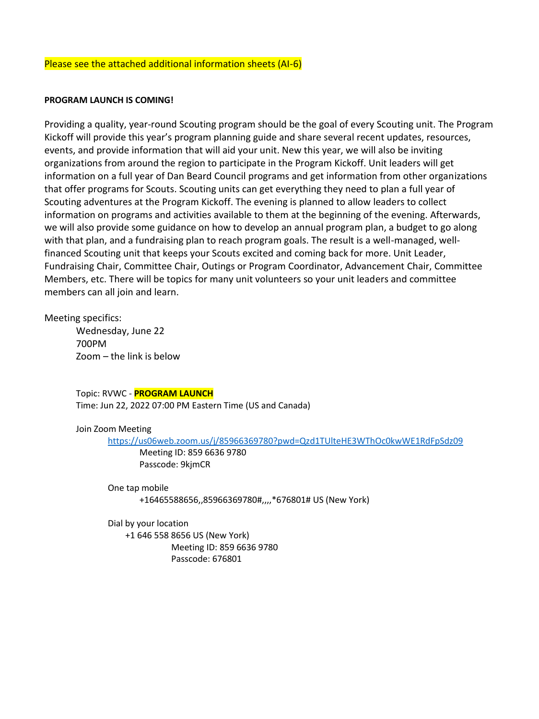#### Please see the attached additional information sheets (AI-6)

#### **PROGRAM LAUNCH IS COMING!**

Providing a quality, year-round Scouting program should be the goal of every Scouting unit. The Program Kickoff will provide this year's program planning guide and share several recent updates, resources, events, and provide information that will aid your unit. New this year, we will also be inviting organizations from around the region to participate in the Program Kickoff. Unit leaders will get information on a full year of Dan Beard Council programs and get information from other organizations that offer programs for Scouts. Scouting units can get everything they need to plan a full year of Scouting adventures at the Program Kickoff. The evening is planned to allow leaders to collect information on programs and activities available to them at the beginning of the evening. Afterwards, we will also provide some guidance on how to develop an annual program plan, a budget to go along with that plan, and a fundraising plan to reach program goals. The result is a well-managed, wellfinanced Scouting unit that keeps your Scouts excited and coming back for more. Unit Leader, Fundraising Chair, Committee Chair, Outings or Program Coordinator, Advancement Chair, Committee Members, etc. There will be topics for many unit volunteers so your unit leaders and committee members can all join and learn.

#### Meeting specifics:

Wednesday, June 22 700PM Zoom – the link is below

Topic: RVWC - **PROGRAM LAUNCH** Time: Jun 22, 2022 07:00 PM Eastern Time (US and Canada)

#### Join Zoom Meeting

<https://us06web.zoom.us/j/85966369780?pwd=Qzd1TUlteHE3WThOc0kwWE1RdFpSdz09>

Meeting ID: 859 6636 9780 Passcode: 9kjmCR

One tap mobile

+16465588656,,85966369780#,,,,\*676801# US (New York)

Dial by your location

 +1 646 558 8656 US (New York) Meeting ID: 859 6636 9780 Passcode: 676801